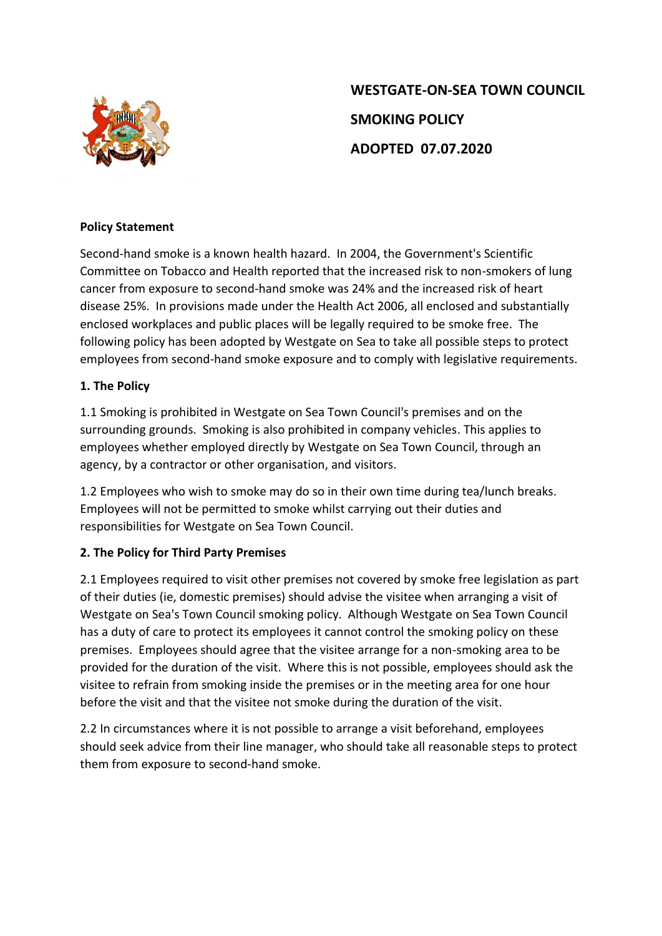

# **WESTGATE-ON-SEA TOWN COUNCIL SMOKING POLICY ADOPTED 07.07.2020**

#### **Policy Statement**

Second-hand smoke is a known health hazard. In 2004, the Government's Scientific Committee on Tobacco and Health reported that the increased risk to non-smokers of lung cancer from exposure to second-hand smoke was 24% and the increased risk of heart disease 25%. In provisions made under the Health Act 2006, all enclosed and substantially enclosed workplaces and public places will be legally required to be smoke free. The following policy has been adopted by Westgate on Sea to take all possible steps to protect employees from second-hand smoke exposure and to comply with legislative requirements.

#### **1. The Policy**

1.1 Smoking is prohibited in Westgate on Sea Town Council's premises and on the surrounding grounds. Smoking is also prohibited in company vehicles. This applies to employees whether employed directly by Westgate on Sea Town Council, through an agency, by a contractor or other organisation, and visitors.

1.2 Employees who wish to smoke may do so in their own time during tea/lunch breaks. Employees will not be permitted to smoke whilst carrying out their duties and responsibilities for Westgate on Sea Town Council.

### **2. The Policy for Third Party Premises**

2.1 Employees required to visit other premises not covered by smoke free legislation as part of their duties (ie, domestic premises) should advise the visitee when arranging a visit of Westgate on Sea's Town Council smoking policy. Although Westgate on Sea Town Council has a duty of care to protect its employees it cannot control the smoking policy on these premises. Employees should agree that the visitee arrange for a non-smoking area to be provided for the duration of the visit. Where this is not possible, employees should ask the visitee to refrain from smoking inside the premises or in the meeting area for one hour before the visit and that the visitee not smoke during the duration of the visit.

2.2 In circumstances where it is not possible to arrange a visit beforehand, employees should seek advice from their line manager, who should take all reasonable steps to protect them from exposure to second-hand smoke.